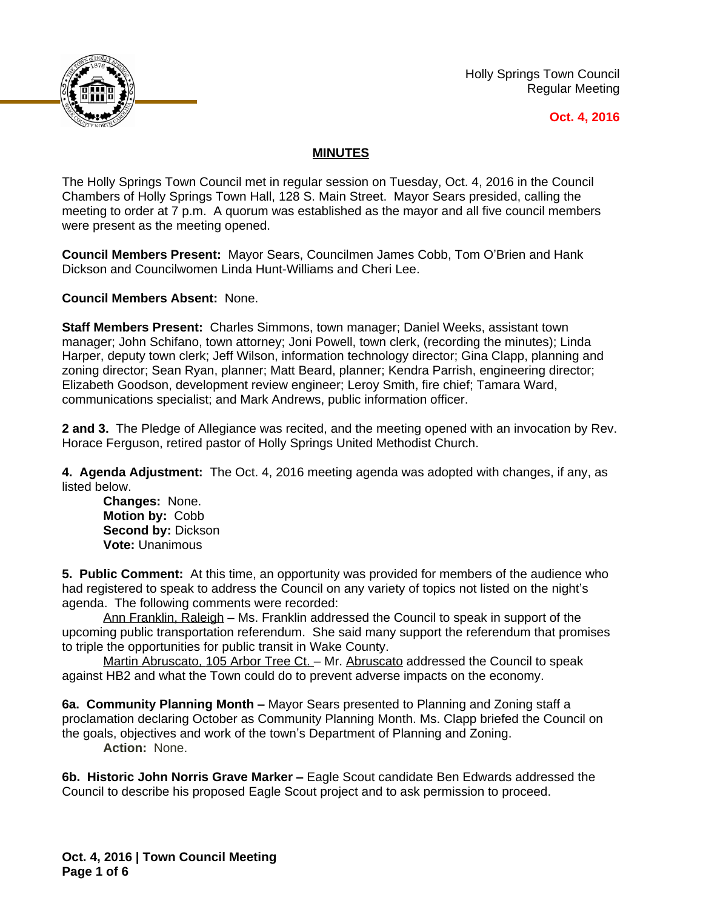

Holly Springs Town Council Regular Meeting

## **Oct. 4, 2016**

## **MINUTES**

The Holly Springs Town Council met in regular session on Tuesday, Oct. 4, 2016 in the Council Chambers of Holly Springs Town Hall, 128 S. Main Street. Mayor Sears presided, calling the meeting to order at 7 p.m. A quorum was established as the mayor and all five council members were present as the meeting opened.

**Council Members Present:** Mayor Sears, Councilmen James Cobb, Tom O'Brien and Hank Dickson and Councilwomen Linda Hunt-Williams and Cheri Lee.

**Council Members Absent:** None.

**Staff Members Present:** Charles Simmons, town manager; Daniel Weeks, assistant town manager; John Schifano, town attorney; Joni Powell, town clerk, (recording the minutes); Linda Harper, deputy town clerk; Jeff Wilson, information technology director; Gina Clapp, planning and zoning director; Sean Ryan, planner; Matt Beard, planner; Kendra Parrish, engineering director; Elizabeth Goodson, development review engineer; Leroy Smith, fire chief; Tamara Ward, communications specialist; and Mark Andrews, public information officer.

**2 and 3.** The Pledge of Allegiance was recited, and the meeting opened with an invocation by Rev. Horace Ferguson, retired pastor of Holly Springs United Methodist Church.

**4. Agenda Adjustment:** The Oct. 4, 2016 meeting agenda was adopted with changes, if any, as listed below.

**Changes:** None. **Motion by:** Cobb **Second by:** Dickson **Vote:** Unanimous

**5. Public Comment:** At this time, an opportunity was provided for members of the audience who had registered to speak to address the Council on any variety of topics not listed on the night's agenda. The following comments were recorded:

Ann Franklin, Raleigh – Ms. Franklin addressed the Council to speak in support of the upcoming public transportation referendum. She said many support the referendum that promises to triple the opportunities for public transit in Wake County.

Martin Abruscato, 105 Arbor Tree Ct. - Mr. Abruscato addressed the Council to speak against HB2 and what the Town could do to prevent adverse impacts on the economy.

**6a. Community Planning Month –** Mayor Sears presented to Planning and Zoning staff a proclamation declaring October as Community Planning Month. Ms. Clapp briefed the Council on the goals, objectives and work of the town's Department of Planning and Zoning. **Action:** None.

**6b. Historic John Norris Grave Marker –** Eagle Scout candidate Ben Edwards addressed the Council to describe his proposed Eagle Scout project and to ask permission to proceed.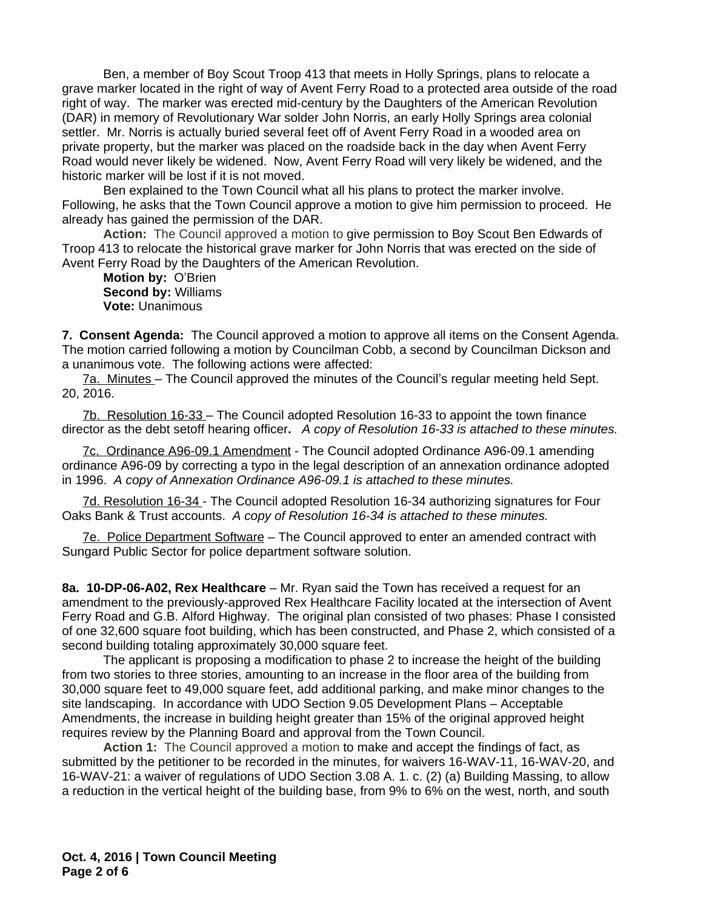Ben, a member of Boy Scout Troop 413 that meets in Holly Springs, plans to relocate a grave marker located in the right of way of Avent Ferry Road to a protected area outside of the road right of way. The marker was erected mid-century by the Daughters of the American Revolution (DAR) in memory of Revolutionary War solder John Norris, an early Holly Springs area colonial settler. Mr. Norris is actually buried several feet off of Avent Ferry Road in a wooded area on private property, but the marker was placed on the roadside back in the day when Avent Ferry Road would never likely be widened. Now, Avent Ferry Road will very likely be widened, and the historic marker will be lost if it is not moved.

Ben explained to the Town Council what all his plans to protect the marker involve. Following, he asks that the Town Council approve a motion to give him permission to proceed. He already has gained the permission of the DAR.

**Action:** The Council approved a motion to give permission to Boy Scout Ben Edwards of Troop 413 to relocate the historical grave marker for John Norris that was erected on the side of Avent Ferry Road by the Daughters of the American Revolution.

**Motion by:** O'Brien **Second by:** Williams **Vote:** Unanimous

**7. Consent Agenda:** The Council approved a motion to approve all items on the Consent Agenda. The motion carried following a motion by Councilman Cobb, a second by Councilman Dickson and a unanimous vote. The following actions were affected:

7a. Minutes – The Council approved the minutes of the Council's regular meeting held Sept. 20, 2016.

7b. Resolution 16-33 – The Council adopted Resolution 16-33 to appoint the town finance director as the debt setoff hearing officer**.** *A copy of Resolution 16-33 is attached to these minutes.*

7c. Ordinance A96-09.1 Amendment - The Council adopted Ordinance A96-09.1 amending ordinance A96-09 by correcting a typo in the legal description of an annexation ordinance adopted in 1996. *A copy of Annexation Ordinance A96-09.1 is attached to these minutes.*

7d. Resolution 16-34 - The Council adopted Resolution 16-34 authorizing signatures for Four Oaks Bank & Trust accounts.*A copy of Resolution 16-34 is attached to these minutes.*

7e. Police Department Software – The Council approved to enter an amended contract with Sungard Public Sector for police department software solution.

**8a. 10-DP-06-A02, Rex Healthcare** – Mr. Ryan said the Town has received a request for an amendment to the previously-approved Rex Healthcare Facility located at the intersection of Avent Ferry Road and G.B. Alford Highway. The original plan consisted of two phases: Phase I consisted of one 32,600 square foot building, which has been constructed, and Phase 2, which consisted of a second building totaling approximately 30,000 square feet.

The applicant is proposing a modification to phase 2 to increase the height of the building from two stories to three stories, amounting to an increase in the floor area of the building from 30,000 square feet to 49,000 square feet, add additional parking, and make minor changes to the site landscaping. In accordance with UDO Section 9.05 Development Plans – Acceptable Amendments, the increase in building height greater than 15% of the original approved height requires review by the Planning Board and approval from the Town Council.

**Action 1:** The Council approved a motion to make and accept the findings of fact, as submitted by the petitioner to be recorded in the minutes, for waivers 16-WAV-11, 16-WAV-20, and 16-WAV-21: a waiver of regulations of UDO Section 3.08 A. 1. c. (2) (a) Building Massing, to allow a reduction in the vertical height of the building base, from 9% to 6% on the west, north, and south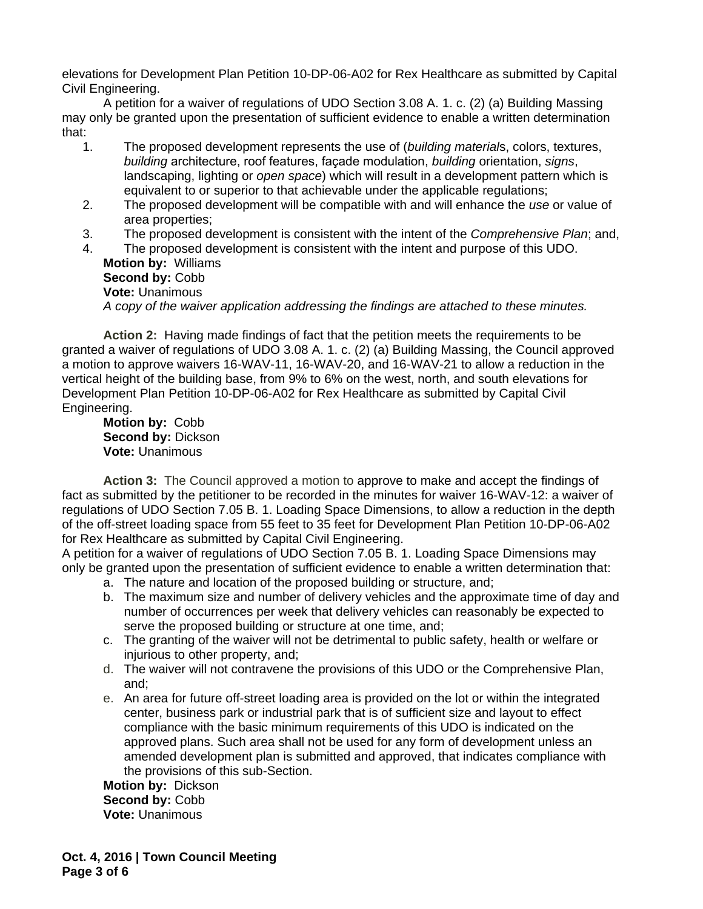elevations for Development Plan Petition 10-DP-06-A02 for Rex Healthcare as submitted by Capital Civil Engineering.

A petition for a waiver of regulations of UDO Section 3.08 A. 1. c. (2) (a) Building Massing may only be granted upon the presentation of sufficient evidence to enable a written determination that:

- 1. The proposed development represents the use of (*building material*s, colors, textures, *building* architecture, roof features, façade modulation, *building* orientation, *signs*, landscaping, lighting or *open space*) which will result in a development pattern which is equivalent to or superior to that achievable under the applicable regulations;
- 2. The proposed development will be compatible with and will enhance the *use* or value of area properties;
- 3. The proposed development is consistent with the intent of the *Comprehensive Plan*; and,

4. The proposed development is consistent with the intent and purpose of this UDO. **Motion by:** Williams **Second by:** Cobb **Vote:** Unanimous *A copy of the waiver application addressing the findings are attached to these minutes.*

**Action 2:** Having made findings of fact that the petition meets the requirements to be granted a waiver of regulations of UDO 3.08 A. 1. c. (2) (a) Building Massing, the Council approved a motion to approve waivers 16-WAV-11, 16-WAV-20, and 16-WAV-21 to allow a reduction in the vertical height of the building base, from 9% to 6% on the west, north, and south elevations for Development Plan Petition 10-DP-06-A02 for Rex Healthcare as submitted by Capital Civil Engineering.

**Motion by:** Cobb **Second by:** Dickson **Vote:** Unanimous

**Action 3:** The Council approved a motion to approve to make and accept the findings of fact as submitted by the petitioner to be recorded in the minutes for waiver 16-WAV-12: a waiver of regulations of UDO Section 7.05 B. 1. Loading Space Dimensions, to allow a reduction in the depth of the off-street loading space from 55 feet to 35 feet for Development Plan Petition 10-DP-06-A02 for Rex Healthcare as submitted by Capital Civil Engineering.

A petition for a waiver of regulations of UDO Section 7.05 B. 1. Loading Space Dimensions may only be granted upon the presentation of sufficient evidence to enable a written determination that: a. The nature and location of the proposed building or structure, and;

- b. The maximum size and number of delivery vehicles and the approximate time of day and number of occurrences per week that delivery vehicles can reasonably be expected to serve the proposed building or structure at one time, and;
- c. The granting of the waiver will not be detrimental to public safety, health or welfare or injurious to other property, and;
- d. The waiver will not contravene the provisions of this UDO or the Comprehensive Plan, and;
- e. An area for future off-street loading area is provided on the lot or within the integrated center, business park or industrial park that is of sufficient size and layout to effect compliance with the basic minimum requirements of this UDO is indicated on the approved plans. Such area shall not be used for any form of development unless an amended development plan is submitted and approved, that indicates compliance with the provisions of this sub-Section.

**Motion by:** Dickson **Second by:** Cobb **Vote:** Unanimous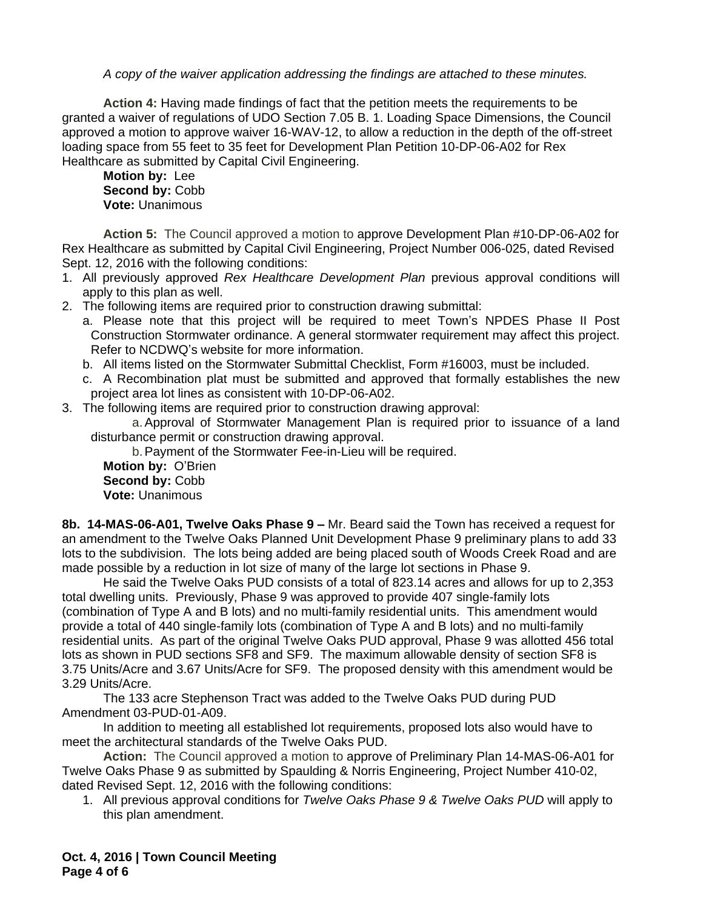*A copy of the waiver application addressing the findings are attached to these minutes.*

**Action 4:** Having made findings of fact that the petition meets the requirements to be granted a waiver of regulations of UDO Section 7.05 B. 1. Loading Space Dimensions, the Council approved a motion to approve waiver 16-WAV-12, to allow a reduction in the depth of the off-street loading space from 55 feet to 35 feet for Development Plan Petition 10-DP-06-A02 for Rex Healthcare as submitted by Capital Civil Engineering.

**Motion by:** Lee **Second by:** Cobb **Vote:** Unanimous

**Action 5:** The Council approved a motion to approve Development Plan #10-DP-06-A02 for Rex Healthcare as submitted by Capital Civil Engineering, Project Number 006-025, dated Revised Sept. 12, 2016 with the following conditions:

- 1. All previously approved *Rex Healthcare Development Plan* previous approval conditions will apply to this plan as well.
- 2. The following items are required prior to construction drawing submittal:
	- a. Please note that this project will be required to meet Town's NPDES Phase II Post Construction Stormwater ordinance. A general stormwater requirement may affect this project. Refer to NCDWQ's website for more information.
	- b. All items listed on the Stormwater Submittal Checklist, Form #16003, must be included.
	- c. A Recombination plat must be submitted and approved that formally establishes the new project area lot lines as consistent with 10-DP-06-A02.
- 3. The following items are required prior to construction drawing approval:

a.Approval of Stormwater Management Plan is required prior to issuance of a land disturbance permit or construction drawing approval.

b.Payment of the Stormwater Fee-in-Lieu will be required.

**Motion by:** O'Brien **Second by:** Cobb **Vote:** Unanimous

**8b. 14-MAS-06-A01, Twelve Oaks Phase 9 –** Mr. Beard said the Town has received a request for an amendment to the Twelve Oaks Planned Unit Development Phase 9 preliminary plans to add 33 lots to the subdivision. The lots being added are being placed south of Woods Creek Road and are made possible by a reduction in lot size of many of the large lot sections in Phase 9.

He said the Twelve Oaks PUD consists of a total of 823.14 acres and allows for up to 2,353 total dwelling units. Previously, Phase 9 was approved to provide 407 single-family lots (combination of Type A and B lots) and no multi-family residential units. This amendment would provide a total of 440 single-family lots (combination of Type A and B lots) and no multi-family residential units. As part of the original Twelve Oaks PUD approval, Phase 9 was allotted 456 total lots as shown in PUD sections SF8 and SF9. The maximum allowable density of section SF8 is 3.75 Units/Acre and 3.67 Units/Acre for SF9. The proposed density with this amendment would be 3.29 Units/Acre.

The 133 acre Stephenson Tract was added to the Twelve Oaks PUD during PUD Amendment 03-PUD-01-A09.

In addition to meeting all established lot requirements, proposed lots also would have to meet the architectural standards of the Twelve Oaks PUD.

**Action:** The Council approved a motion to approve of Preliminary Plan 14-MAS-06-A01 for Twelve Oaks Phase 9 as submitted by Spaulding & Norris Engineering, Project Number 410-02, dated Revised Sept. 12, 2016 with the following conditions:

1. All previous approval conditions for *Twelve Oaks Phase 9 & Twelve Oaks PUD* will apply to this plan amendment.

**Oct. 4, 2016 | Town Council Meeting Page 4 of 6**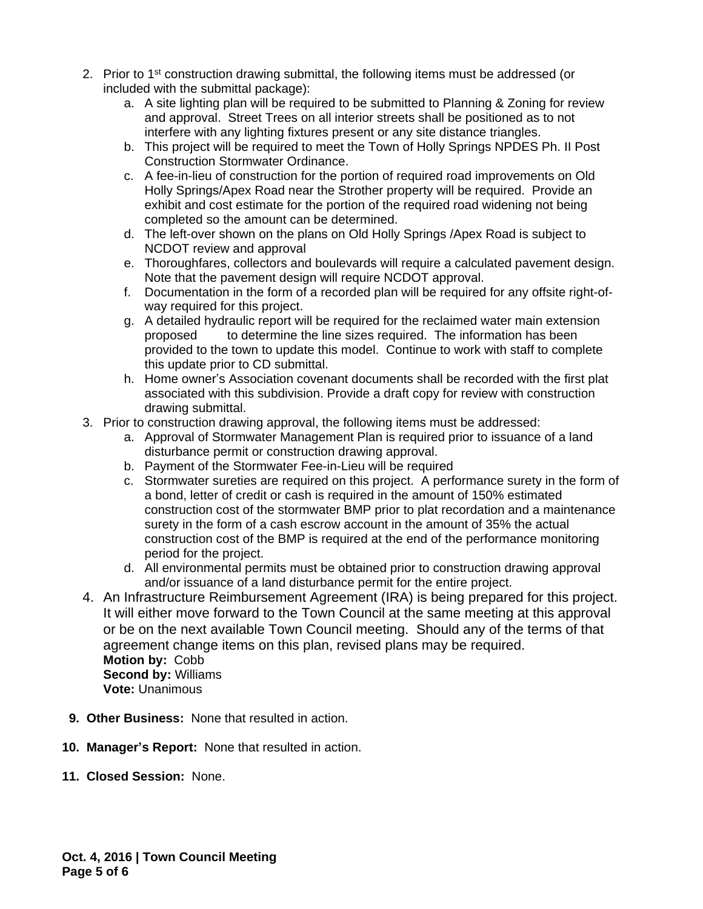- 2. Prior to 1<sup>st</sup> construction drawing submittal, the following items must be addressed (or included with the submittal package):
	- a. A site lighting plan will be required to be submitted to Planning & Zoning for review and approval. Street Trees on all interior streets shall be positioned as to not interfere with any lighting fixtures present or any site distance triangles.
	- b. This project will be required to meet the Town of Holly Springs NPDES Ph. II Post Construction Stormwater Ordinance.
	- c. A fee-in-lieu of construction for the portion of required road improvements on Old Holly Springs/Apex Road near the Strother property will be required. Provide an exhibit and cost estimate for the portion of the required road widening not being completed so the amount can be determined.
	- d. The left-over shown on the plans on Old Holly Springs /Apex Road is subject to NCDOT review and approval
	- e. Thoroughfares, collectors and boulevards will require a calculated pavement design. Note that the pavement design will require NCDOT approval.
	- f. Documentation in the form of a recorded plan will be required for any offsite right-ofway required for this project.
	- g. A detailed hydraulic report will be required for the reclaimed water main extension proposed to determine the line sizes required. The information has been provided to the town to update this model. Continue to work with staff to complete this update prior to CD submittal.
	- h. Home owner's Association covenant documents shall be recorded with the first plat associated with this subdivision. Provide a draft copy for review with construction drawing submittal.
- 3. Prior to construction drawing approval, the following items must be addressed:
	- a. Approval of Stormwater Management Plan is required prior to issuance of a land disturbance permit or construction drawing approval.
	- b. Payment of the Stormwater Fee-in-Lieu will be required
	- c. Stormwater sureties are required on this project. A performance surety in the form of a bond, letter of credit or cash is required in the amount of 150% estimated construction cost of the stormwater BMP prior to plat recordation and a maintenance surety in the form of a cash escrow account in the amount of 35% the actual construction cost of the BMP is required at the end of the performance monitoring period for the project.
	- d. All environmental permits must be obtained prior to construction drawing approval and/or issuance of a land disturbance permit for the entire project.
- 4. An Infrastructure Reimbursement Agreement (IRA) is being prepared for this project. It will either move forward to the Town Council at the same meeting at this approval or be on the next available Town Council meeting. Should any of the terms of that agreement change items on this plan, revised plans may be required. **Motion by:** Cobb **Second by:** Williams **Vote:** Unanimous
- **9. Other Business:** None that resulted in action.
- **10. Manager's Report:** None that resulted in action.
- **11. Closed Session:** None.